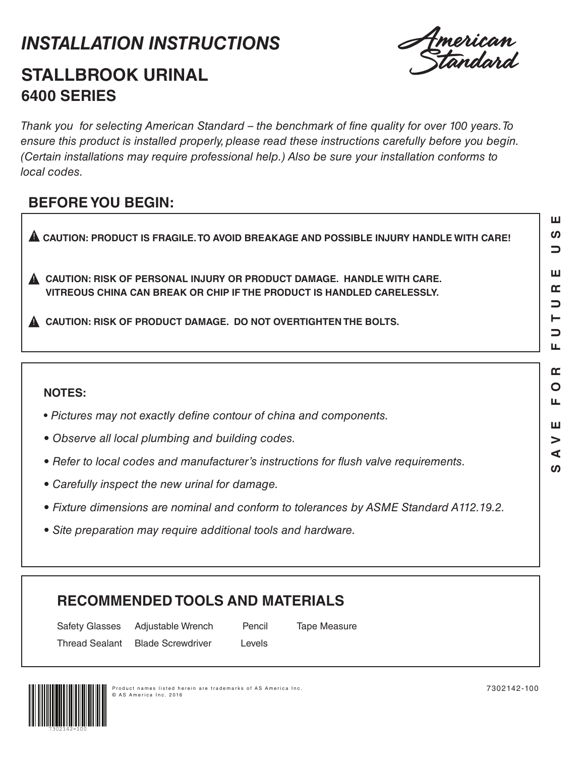# *INSTALLATION INSTRUCTIONS*



# **STALLBROOK URINAL 6400 SERIES**

Thank you for selecting American Standard – the benchmark of fine quality for over 100 years. To ensure this product is installed properly, please read these instructions carefully before you begin. (Certain installations may require professional help.) Also be sure your installation conforms to *local codes.*

## **BEFORE YOU BEGIN:**

 $\blacksquare$  CAUTION: PRODUCT IS FRAGILE. TO AVOID BREAKAGE AND POSSIBLE INJURY HANDLE WITH CARE!

**CAUTION: RISK OF PERSONAL INJURY OR PRODUCT DAMAGE. HANDLE WITH CARE.**  ! **VITREOUS CHINA CAN BREAK OR CHIP IF THE PRODUCT IS HANDLED CARELESSLY.**

! **CAUTION: RISK OF PRODUCT DAMAGE. DO NOT OVERTIGHTEN THE BOLTS.**

### **NOTES:**

- *Pictures may not exactly define contour of china and components.*
- Observe all local plumbing and building codes.
- Refer to local codes and manufacturer's instructions for flush valve requirements.
- Carefully inspect the new urinal for damage.
- Fixture dimensions are nominal and conform to tolerances by ASME Standard A112.19.2.
- Site preparation may require additional tools and hardware.

## **RECOMMENDED TOOLS AND MATERIALS**

Safety Glasses Adjustable Wrench Pencil Tape Measure Thread Sealant Blade Screwdriver Levels



ш ທ  $\Box$ 

Ш Œ  $\overline{\phantom{0}}$ ⊢ ⊃ Щ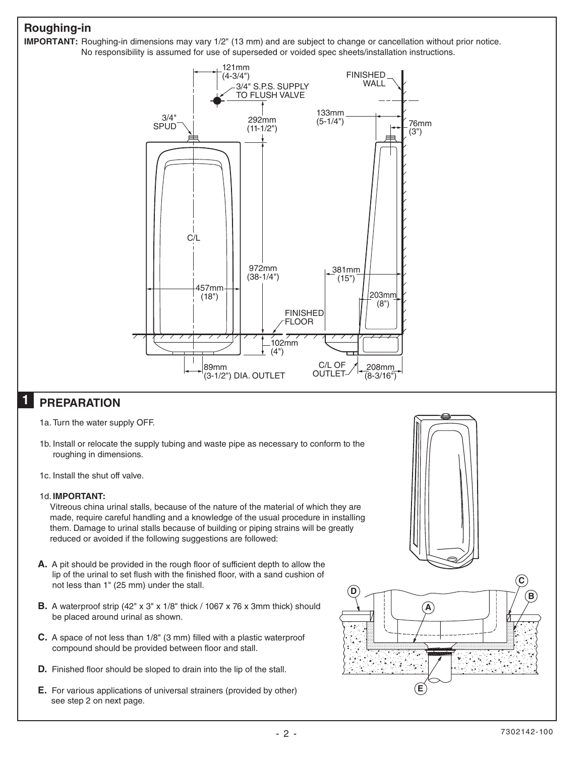### **Roughing-in**



#### **PREPARATION 1**

- 1a. Turn the water supply OFF.
- 1b. Install or relocate the supply tubing and waste pipe as necessary to conform to the roughing in dimensions.
- 1c. Install the shut off valve.

### 1d. **IMPORTANT:**

Vitreous china urinal stalls, because of the nature of the material of which they are made, require careful handling and a knowledge of the usual procedure in installing them. Damage to urinal stalls because of building or piping strains will be greatly reduced or avoided if the following suggestions are followed:

- **A.** A pit should be provided in the rough floor of sufficient depth to allow the lip of the urinal to set flush with the finished floor, with a sand cushion of not less than 1" (25 mm) under the stall.
- **B.** A waterproof strip (42" x 3" x 1/8" thick / 1067 x 76 x 3mm thick) should be placed around urinal as shown.
- **C.** A space of not less than 1/8" (3 mm) filled with a plastic waterproof compound should be provided between floor and stall.
- **D.** Finished floor should be sloped to drain into the lip of the stall.
- **E.** For various applications of universal strainers (provided by other) see step 2 on next page.

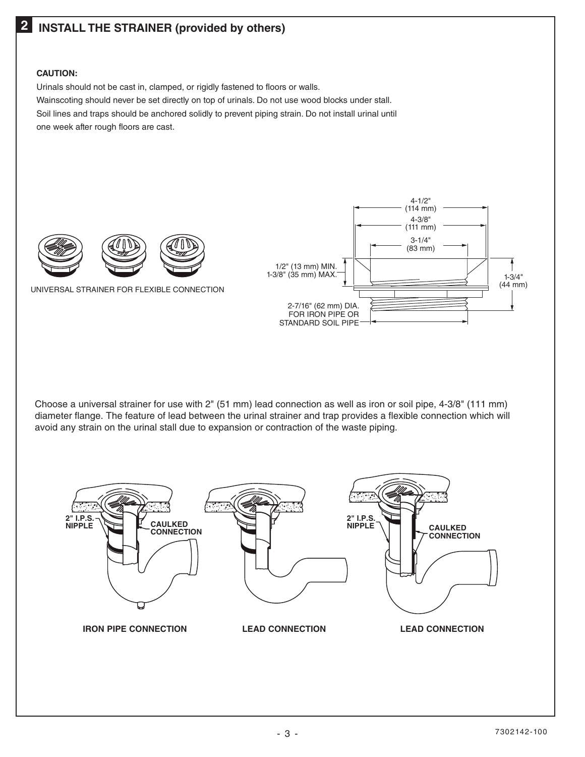## **2 INSTALL THE STRAINER (provided by others)**

### **CAUTION:**

Urinals should not be cast in, clamped, or rigidly fastened to floors or walls. Wainscoting should never be set directly on top of urinals. Do not use wood blocks under stall. Soil lines and traps should be anchored solidly to prevent piping strain. Do not install urinal until one week after rough floors are cast.



UNIVERSAL STRAINER FOR FLEXIBLE CONNECTION



Choose a universal strainer for use with 2" (51 mm) lead connection as well as iron or soil pipe, 4-3/8" (111 mm) diameter flange. The feature of lead between the urinal strainer and trap provides a flexible connection which will avoid any strain on the urinal stall due to expansion or contraction of the waste piping.